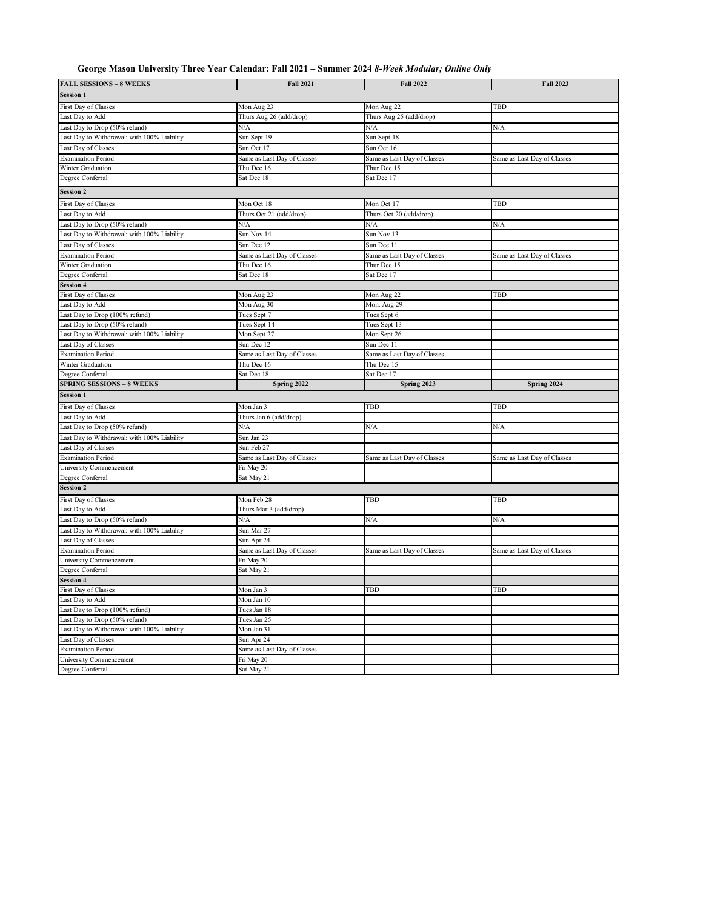## **George Mason University Three Year Calendar: Fall 2021 – Summer 2024** *8-Week Modular; Online Only*

| <b>FALL SESSIONS - 8 WEEKS</b>                   | <b>Fall 2021</b>                          | <b>Fall 2022</b>            | <b>Fall 2023</b>            |
|--------------------------------------------------|-------------------------------------------|-----------------------------|-----------------------------|
| <b>Session 1</b>                                 |                                           |                             |                             |
| First Day of Classes                             | Mon Aug 23                                | Mon Aug 22                  | TBD                         |
| Last Day to Add                                  | Thurs Aug 26 (add/drop)                   | Thurs Aug 25 (add/drop)     |                             |
| Last Day to Drop (50% refund)                    | N/A                                       | N/A                         | N/A                         |
| Last Day to Withdrawal: with 100% Liability      | Sun Sept 19                               | Sun Sept 18                 |                             |
| Last Day of Classes                              | Sun Oct 17                                | Sun Oct 16                  |                             |
| <b>Examination Period</b>                        | Same as Last Day of Classes               | Same as Last Day of Classes | Same as Last Day of Classes |
| Winter Graduation                                | Thu Dec 16                                | Thur Dec 15                 |                             |
| Degree Conferral                                 | Sat Dec 18                                | Sat Dec 17                  |                             |
| <b>Session 2</b>                                 |                                           |                             |                             |
| First Day of Classes                             | Mon Oct 18                                | Mon Oct 17                  | TBD                         |
|                                                  |                                           |                             |                             |
| Last Day to Add<br>Last Day to Drop (50% refund) | Thurs Oct 21 (add/drop)<br>N/A            | Thurs Oct 20 (add/drop)     | N/A                         |
| Last Day to Withdrawal: with 100% Liability      | Sun Nov 14                                | N/A<br>Sun Nov 13           |                             |
|                                                  |                                           |                             |                             |
| Last Day of Classes                              | Sun Dec 12                                | Sun Dec 11                  |                             |
| <b>Examination Period</b>                        | Same as Last Day of Classes               | Same as Last Day of Classes | Same as Last Day of Classes |
| Winter Graduation                                | Thu Dec 16                                | Thur Dec 15                 |                             |
| Degree Conferral                                 | Sat Dec 18                                | Sat Dec 17                  |                             |
| <b>Session 4</b>                                 |                                           |                             |                             |
| First Day of Classes                             | Mon Aug 23                                | Mon Aug 22                  | TBD                         |
| Last Day to Add                                  | Mon Aug 30                                | Mon. Aug 29                 |                             |
| Last Day to Drop (100% refund)                   | Tues Sept 7                               | Tues Sept 6                 |                             |
| Last Day to Drop (50% refund)                    | Tues Sept 14                              | Tues Sept 13                |                             |
| Last Day to Withdrawal: with 100% Liability      | Mon Sept 27                               | Mon Sept 26                 |                             |
| Last Day of Classes                              | Sun Dec 12                                | Sun Dec 11                  |                             |
| <b>Examination Period</b>                        | Same as Last Day of Classes               | Same as Last Day of Classes |                             |
| Winter Graduation                                | Thu Dec 16                                | Thu Dec 15                  |                             |
| Degree Conferral                                 | Sat Dec 18                                | Sat Dec 17                  |                             |
| <b>SPRING SESSIONS - 8 WEEKS</b>                 | Spring 2022                               | Spring 2023                 | Spring 2024                 |
|                                                  |                                           |                             |                             |
| <b>Session 1</b>                                 |                                           |                             |                             |
| First Day of Classes                             | Mon Jan 3                                 | TBD                         | TBD                         |
| Last Day to Add                                  | Thurs Jan 6 (add/drop)                    |                             |                             |
| Last Day to Drop (50% refund)                    | N/A                                       | N/A                         | N/A                         |
| Last Day to Withdrawal: with 100% Liability      | Sun Jan 23                                |                             |                             |
| Last Day of Classes                              | Sun Feb 27                                |                             |                             |
| <b>Examination Period</b>                        | Same as Last Day of Classes               | Same as Last Day of Classes | Same as Last Day of Classes |
| University Commencement                          | Fri May 20                                |                             |                             |
| Degree Conferral                                 | Sat May 21                                |                             |                             |
| <b>Session 2</b>                                 |                                           |                             |                             |
| First Day of Classes                             | Mon Feb 28                                | TBD                         | TBD                         |
| Last Day to Add                                  | Thurs Mar 3 (add/drop)                    |                             |                             |
| Last Day to Drop (50% refund)                    | N/A                                       | N/A                         | N/A                         |
| Last Day to Withdrawal: with 100% Liability      | Sun Mar 27                                |                             |                             |
| Last Day of Classes                              | Sun Apr 24                                |                             |                             |
| <b>Examination Period</b>                        | Same as Last Day of Classes               | Same as Last Day of Classes | Same as Last Day of Classes |
| University Commencement                          | Fri May 20                                |                             |                             |
| Degree Conferral                                 | Sat May 21                                |                             |                             |
| <b>Session 4</b>                                 |                                           |                             |                             |
| First Day of Classes                             | Mon Jan 3                                 | TBD                         | TBD                         |
| Last Day to Add                                  | Mon Jan 10                                |                             |                             |
| Last Day to Drop (100% refund)                   | Tues Jan 18                               |                             |                             |
| Last Day to Drop (50% refund)                    | Tues Jan 25                               |                             |                             |
| Last Day to Withdrawal: with 100% Liability      | Mon Jan 31                                |                             |                             |
| Last Day of Classes                              | Sun Apr 24                                |                             |                             |
| <b>Examination Period</b>                        |                                           |                             |                             |
| University Commencement                          | Same as Last Day of Classes<br>Fri May 20 |                             |                             |